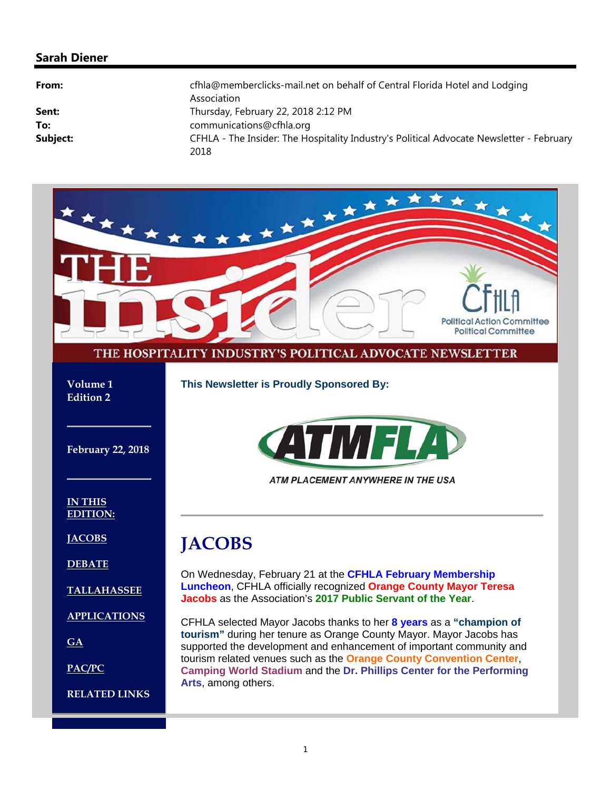#### **Sarah Diener**

| cfhla@memberclicks-mail.net on behalf of Central Florida Hotel and Lodging<br>Association        |
|--------------------------------------------------------------------------------------------------|
| Thursday, February 22, 2018 2:12 PM                                                              |
| communications@cfhla.org                                                                         |
| CFHLA - The Insider: The Hospitality Industry's Political Advocate Newsletter - February<br>2018 |
|                                                                                                  |

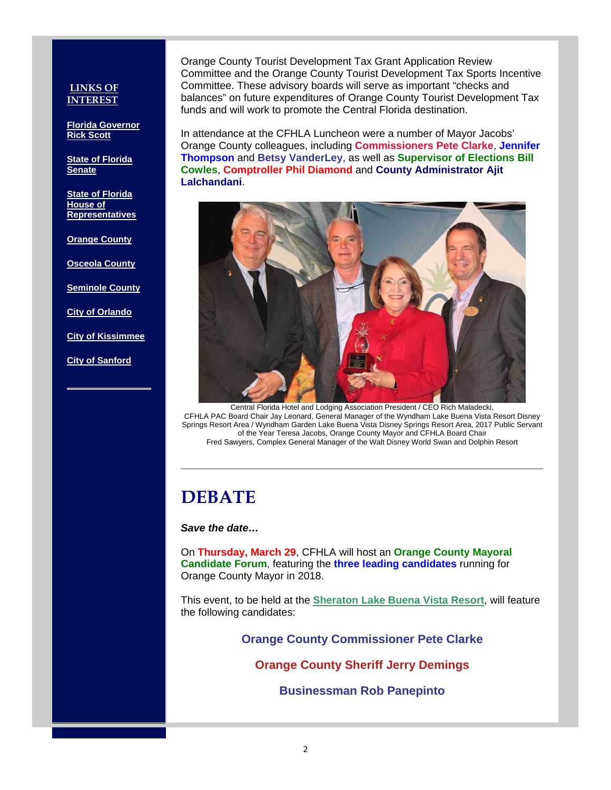#### **LINKS OF INTEREST**

**Florida Governor Rick Scott**

**State of Florida Senate**

**State of Florida House of Representatives**

**Orange County**

**Osceola County**

**Seminole County**

**City of Orlando**

**City of Kissimmee**

**City of Sanford**

Orange County Tourist Development Tax Grant Application Review Committee and the Orange County Tourist Development Tax Sports Incentive Committee. These advisory boards will serve as important "checks and balances" on future expenditures of Orange County Tourist Development Tax funds and will work to promote the Central Florida destination.

In attendance at the CFHLA Luncheon were a number of Mayor Jacobs' Orange County colleagues, including **Commissioners Pete Clarke**, **Jennifer Thompson** and **Betsy VanderLey**, as well as **Supervisor of Elections Bill Cowles**, **Comptroller Phil Diamond** and **County Administrator Ajit Lalchandani**.



Central Florida Hotel and Lodging Association President / CEO Rich Maladecki, CFHLA PAC Board Chair Jay Leonard, General Manager of the Wyndham Lake Buena Vista Resort Disney Springs Resort Area / Wyndham Garden Lake Buena Vista Disney Springs Resort Area, 2017 Public Servant of the Year Teresa Jacobs, Orange County Mayor and CFHLA Board Chair Fred Sawyers, Complex General Manager of the Walt Disney World Swan and Dolphin Resort

## **DEBATE**

#### *Save the date…*

On **Thursday, March 29**, CFHLA will host an **Orange County Mayoral Candidate Forum**, featuring the **three leading candidates** running for Orange County Mayor in 2018.

This event, to be held at the **Sheraton Lake Buena Vista Resort**, will feature the following candidates:

**Orange County Commissioner Pete Clarke**

**Orange County Sheriff Jerry Demings**

**Businessman Rob Panepinto**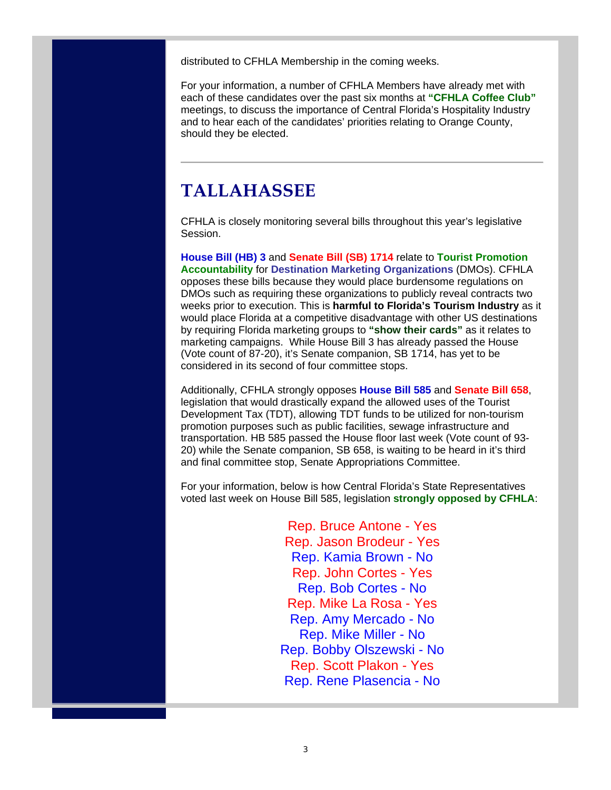distributed to CFHLA Membership in the coming weeks.

For your information, a number of CFHLA Members have already met with each of these candidates over the past six months at **"CFHLA Coffee Club"** meetings, to discuss the importance of Central Florida's Hospitality Industry and to hear each of the candidates' priorities relating to Orange County, should they be elected.

## **TALLAHASSEE**

CFHLA is closely monitoring several bills throughout this year's legislative Session.

**House Bill (HB) 3** and **Senate Bill (SB) 1714** relate to **Tourist Promotion Accountability** for **Destination Marketing Organizations** (DMOs). CFHLA opposes these bills because they would place burdensome regulations on DMOs such as requiring these organizations to publicly reveal contracts two weeks prior to execution. This is **harmful to Florida's Tourism Industry** as it would place Florida at a competitive disadvantage with other US destinations by requiring Florida marketing groups to **"show their cards"** as it relates to marketing campaigns. While House Bill 3 has already passed the House (Vote count of 87-20), it's Senate companion, SB 1714, has yet to be considered in its second of four committee stops.

Additionally, CFHLA strongly opposes **House Bill 585** and **Senate Bill 658**, legislation that would drastically expand the allowed uses of the Tourist Development Tax (TDT), allowing TDT funds to be utilized for non-tourism promotion purposes such as public facilities, sewage infrastructure and transportation. HB 585 passed the House floor last week (Vote count of 93- 20) while the Senate companion, SB 658, is waiting to be heard in it's third and final committee stop, Senate Appropriations Committee.

For your information, below is how Central Florida's State Representatives voted last week on House Bill 585, legislation **strongly opposed by CFHLA**:

> Rep. Bruce Antone - Yes Rep. Jason Brodeur - Yes Rep. Kamia Brown - No Rep. John Cortes - Yes Rep. Bob Cortes - No Rep. Mike La Rosa - Yes Rep. Amy Mercado - No Rep. Mike Miller - No Rep. Bobby Olszewski - No Rep. Scott Plakon - Yes Rep. Rene Plasencia - No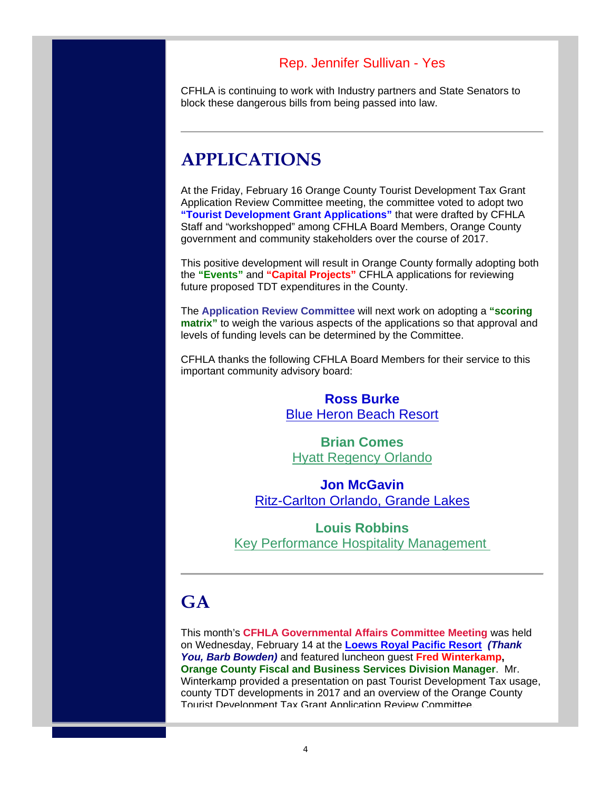### Rep. Jennifer Sullivan - Yes

CFHLA is continuing to work with Industry partners and State Senators to block these dangerous bills from being passed into law.

## **APPLICATIONS**

At the Friday, February 16 Orange County Tourist Development Tax Grant Application Review Committee meeting, the committee voted to adopt two **"Tourist Development Grant Applications"** that were drafted by CFHLA Staff and "workshopped" among CFHLA Board Members, Orange County government and community stakeholders over the course of 2017.

This positive development will result in Orange County formally adopting both the **"Events"** and **"Capital Projects"** CFHLA applications for reviewing future proposed TDT expenditures in the County.

The **Application Review Committee** will next work on adopting a **"scoring matrix"** to weigh the various aspects of the applications so that approval and levels of funding levels can be determined by the Committee.

CFHLA thanks the following CFHLA Board Members for their service to this important community advisory board:

### **Ross Burke** Blue Heron Beach Resort

**Brian Comes** Hyatt Regency Orlando

**Jon McGavin** Ritz-Carlton Orlando, Grande Lakes

**Louis Robbins** Key Performance Hospitality Management

# **GA**

This month's **CFHLA Governmental Affairs Committee Meeting** was held on Wednesday, February 14 at the **Loews Royal Pacific Resort** *(Thank You, Barb Bowden)* and featured luncheon guest **Fred Winterkamp, Orange County Fiscal and Business Services Division Manager**. Mr. Winterkamp provided a presentation on past Tourist Development Tax usage, county TDT developments in 2017 and an overview of the Orange County Tourist Development Tax Grant Application Review Committee.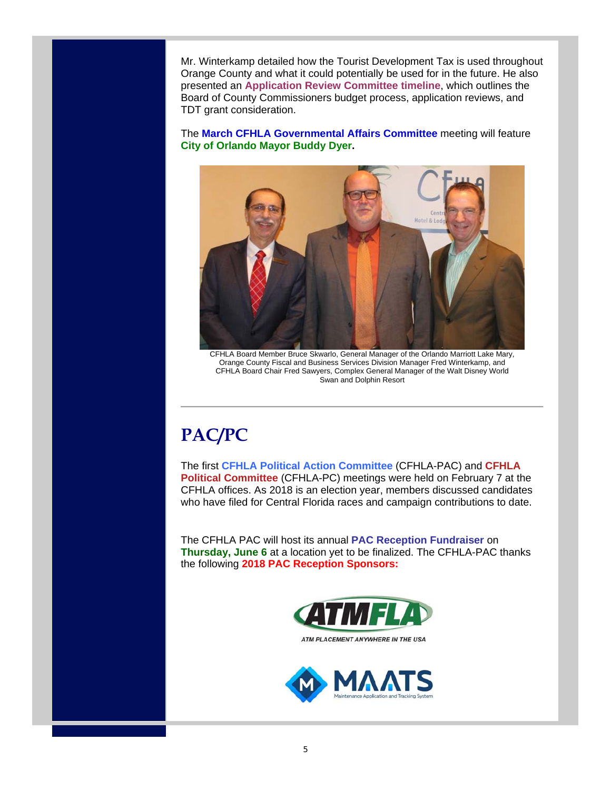Mr. Winterkamp detailed how the Tourist Development Tax is used throughout Orange County and what it could potentially be used for in the future. He also presented an **Application Review Committee timeline**, which outlines the Board of County Commissioners budget process, application reviews, and TDT grant consideration.

The **March CFHLA Governmental Affairs Committee** meeting will feature **City of Orlando Mayor Buddy Dyer.**



CFHLA Board Member Bruce Skwarlo, General Manager of the Orlando Marriott Lake Mary, Orange County Fiscal and Business Services Division Manager Fred Winterkamp, and CFHLA Board Chair Fred Sawyers, Complex General Manager of the Walt Disney World Swan and Dolphin Resort

# **PAC/PC**

The first **CFHLA Political Action Committee** (CFHLA-PAC) and **CFHLA Political Committee** (CFHLA-PC) meetings were held on February 7 at the CFHLA offices. As 2018 is an election year, members discussed candidates who have filed for Central Florida races and campaign contributions to date.

The CFHLA PAC will host its annual **PAC Reception Fundraiser** on **Thursday, June 6** at a location yet to be finalized. The CFHLA-PAC thanks the following **2018 PAC Reception Sponsors:** 



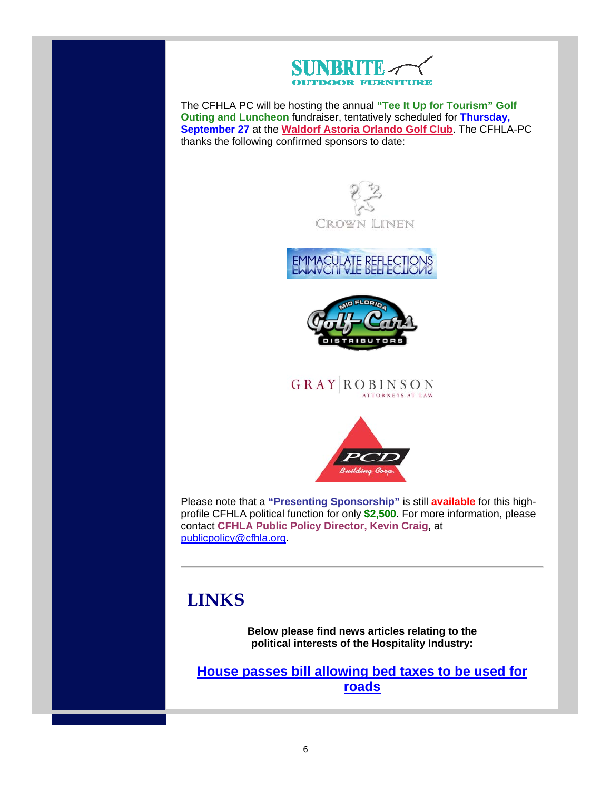

The CFHLA PC will be hosting the annual **"Tee It Up for Tourism" Golf Outing and Luncheon** fundraiser, tentatively scheduled for **Thursday, September 27** at the **Waldorf Astoria Orlando Golf Club**. The CFHLA-PC thanks the following confirmed sponsors to date:







**GRAY ROBINSON** ATTORNEYS AT LAW



Please note that a **"Presenting Sponsorship"** is still **available** for this highprofile CFHLA political function for only **\$2,500**. For more information, please contact **CFHLA Public Policy Director, Kevin Craig,** at publicpolicy@cfhla.org.

# **LINKS**

**Below please find news articles relating to the political interests of the Hospitality Industry:**

**House passes bill allowing bed taxes to be used for roads**